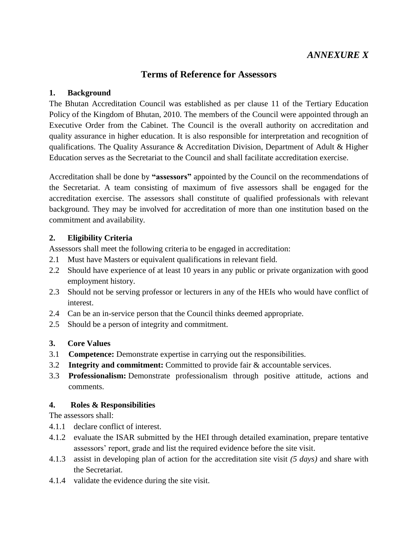# *ANNEXURE X*

## **Terms of Reference for Assessors**

#### **1. Background**

The Bhutan Accreditation Council was established as per clause 11 of the Tertiary Education Policy of the Kingdom of Bhutan, 2010. The members of the Council were appointed through an Executive Order from the Cabinet. The Council is the overall authority on accreditation and quality assurance in higher education. It is also responsible for interpretation and recognition of qualifications. The Quality Assurance & Accreditation Division, Department of Adult & Higher Education serves as the Secretariat to the Council and shall facilitate accreditation exercise.

Accreditation shall be done by **"assessors"** appointed by the Council on the recommendations of the Secretariat. A team consisting of maximum of five assessors shall be engaged for the accreditation exercise. The assessors shall constitute of qualified professionals with relevant background. They may be involved for accreditation of more than one institution based on the commitment and availability.

#### **2. Eligibility Criteria**

Assessors shall meet the following criteria to be engaged in accreditation:

- 2.1 Must have Masters or equivalent qualifications in relevant field.
- 2.2 Should have experience of at least 10 years in any public or private organization with good employment history.
- 2.3 Should not be serving professor or lecturers in any of the HEIs who would have conflict of interest.
- 2.4 Can be an in-service person that the Council thinks deemed appropriate.
- 2.5 Should be a person of integrity and commitment.
- **3. Core Values**
- 3.1 **Competence:** Demonstrate expertise in carrying out the responsibilities.
- 3.2 **Integrity and commitment:** Committed to provide fair & accountable services.
- 3.3 **Professionalism:** Demonstrate professionalism through positive attitude, actions and comments.

#### **4. Roles & Responsibilities**

The assessors shall:

- 4.1.1 declare conflict of interest.
- 4.1.2 evaluate the ISAR submitted by the HEI through detailed examination, prepare tentative assessors' report, grade and list the required evidence before the site visit.
- 4.1.3 assist in developing plan of action for the accreditation site visit *(5 days)* and share with the Secretariat.
- 4.1.4 validate the evidence during the site visit.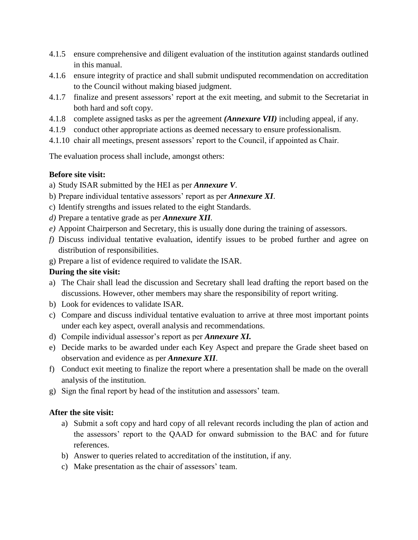- 4.1.5 ensure comprehensive and diligent evaluation of the institution against standards outlined in this manual.
- 4.1.6 ensure integrity of practice and shall submit undisputed recommendation on accreditation to the Council without making biased judgment.
- 4.1.7 finalize and present assessors' report at the exit meeting, and submit to the Secretariat in both hard and soft copy.
- 4.1.8 complete assigned tasks as per the agreement *(Annexure VII)* including appeal, if any.
- 4.1.9 conduct other appropriate actions as deemed necessary to ensure professionalism.
- 4.1.10 chair all meetings, present assessors' report to the Council, if appointed as Chair.

The evaluation process shall include, amongst others:

#### **Before site visit:**

- a) Study ISAR submitted by the HEI as per *Annexure V*.
- b) Prepare individual tentative assessors' report as per *Annexure XI*.
- c) Identify strengths and issues related to the eight Standards.
- *d)* Prepare a tentative grade as per *Annexure XII.*
- *e)* Appoint Chairperson and Secretary, this is usually done during the training of assessors.
- *f)* Discuss individual tentative evaluation, identify issues to be probed further and agree on distribution of responsibilities.
- g) Prepare a list of evidence required to validate the ISAR.

## **During the site visit:**

- a) The Chair shall lead the discussion and Secretary shall lead drafting the report based on the discussions. However, other members may share the responsibility of report writing.
- b) Look for evidences to validate ISAR.
- c) Compare and discuss individual tentative evaluation to arrive at three most important points under each key aspect, overall analysis and recommendations.
- d) Compile individual assessor's report as per *Annexure XI.*
- e) Decide marks to be awarded under each Key Aspect and prepare the Grade sheet based on observation and evidence as per *Annexure XII*.
- f) Conduct exit meeting to finalize the report where a presentation shall be made on the overall analysis of the institution.
- g) Sign the final report by head of the institution and assessors' team.

#### **After the site visit:**

- a) Submit a soft copy and hard copy of all relevant records including the plan of action and the assessors' report to the QAAD for onward submission to the BAC and for future references.
- b) Answer to queries related to accreditation of the institution, if any.
- c) Make presentation as the chair of assessors' team.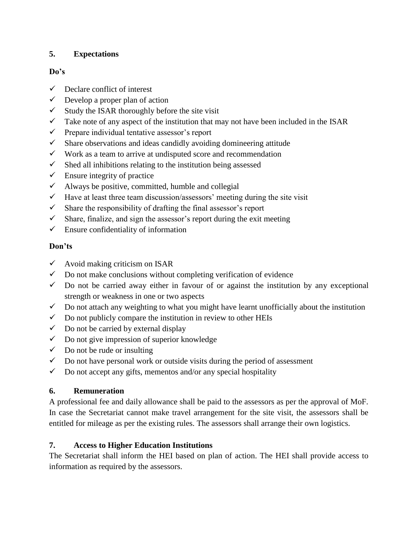## **5. Expectations**

#### **Do's**

- $\checkmark$  Declare conflict of interest
- $\checkmark$  Develop a proper plan of action
- $\checkmark$  Study the ISAR thoroughly before the site visit
- $\checkmark$  Take note of any aspect of the institution that may not have been included in the ISAR
- $\checkmark$  Prepare individual tentative assessor's report
- $\checkmark$  Share observations and ideas candidly avoiding domineering attitude
- $\checkmark$  Work as a team to arrive at undisputed score and recommendation
- $\checkmark$  Shed all inhibitions relating to the institution being assessed
- $\checkmark$  Ensure integrity of practice
- $\checkmark$  Always be positive, committed, humble and collegial
- $\checkmark$  Have at least three team discussion/assessors' meeting during the site visit
- $\checkmark$  Share the responsibility of drafting the final assessor's report
- $\checkmark$  Share, finalize, and sign the assessor's report during the exit meeting
- $\checkmark$  Ensure confidentiality of information

### **Don'ts**

- $\checkmark$  Avoid making criticism on ISAR
- $\checkmark$  Do not make conclusions without completing verification of evidence
- $\checkmark$  Do not be carried away either in favour of or against the institution by any exceptional strength or weakness in one or two aspects
- $\checkmark$  Do not attach any weighting to what you might have learnt unofficially about the institution
- $\checkmark$  Do not publicly compare the institution in review to other HEIs
- $\checkmark$  Do not be carried by external display
- $\checkmark$  Do not give impression of superior knowledge
- $\checkmark$  Do not be rude or insulting
- $\checkmark$  Do not have personal work or outside visits during the period of assessment
- $\checkmark$  Do not accept any gifts, mementos and/or any special hospitality

#### **6. Remuneration**

A professional fee and daily allowance shall be paid to the assessors as per the approval of MoF. In case the Secretariat cannot make travel arrangement for the site visit, the assessors shall be entitled for mileage as per the existing rules. The assessors shall arrange their own logistics.

## **7. Access to Higher Education Institutions**

The Secretariat shall inform the HEI based on plan of action. The HEI shall provide access to information as required by the assessors.